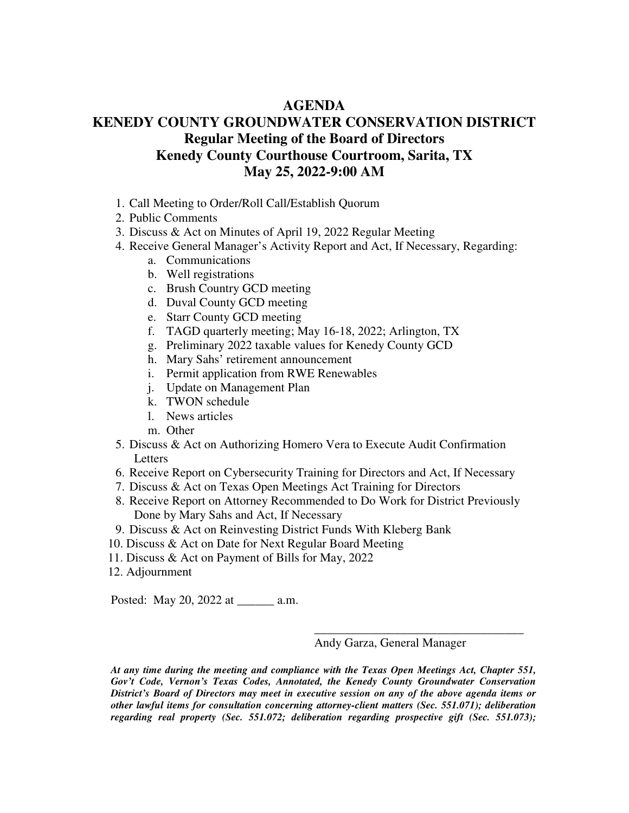## **AGENDA**

## **KENEDY COUNTY GROUNDWATER CONSERVATION DISTRICT Regular Meeting of the Board of Directors Kenedy County Courthouse Courtroom, Sarita, TX May 25, 2022-9:00 AM**

- 1. Call Meeting to Order/Roll Call/Establish Quorum
- 2. Public Comments
- 3. Discuss & Act on Minutes of April 19, 2022 Regular Meeting
- 4. Receive General Manager's Activity Report and Act, If Necessary, Regarding:
	- a. Communications
	- b. Well registrations
	- c. Brush Country GCD meeting
	- d. Duval County GCD meeting
	- e. Starr County GCD meeting
	- f. TAGD quarterly meeting; May 16-18, 2022; Arlington, TX
	- g. Preliminary 2022 taxable values for Kenedy County GCD
	- h. Mary Sahs' retirement announcement
	- i. Permit application from RWE Renewables
	- j. Update on Management Plan
	- k. TWON schedule
	- l. News articles
	- m. Other
- 5. Discuss & Act on Authorizing Homero Vera to Execute Audit Confirmation Letters
- 6. Receive Report on Cybersecurity Training for Directors and Act, If Necessary
- 7. Discuss & Act on Texas Open Meetings Act Training for Directors
- 8. Receive Report on Attorney Recommended to Do Work for District Previously Done by Mary Sahs and Act, If Necessary
- 9. Discuss & Act on Reinvesting District Funds With Kleberg Bank
- 10. Discuss & Act on Date for Next Regular Board Meeting
- 11. Discuss & Act on Payment of Bills for May, 2022
- 12. Adjournment

Posted: May 20, 2022 at \_\_\_\_\_\_ a.m.

Andy Garza, General Manager

\_\_\_\_\_\_\_\_\_\_\_\_\_\_\_\_\_\_\_\_\_\_\_\_\_\_\_\_\_\_\_\_\_\_

*At any time during the meeting and compliance with the Texas Open Meetings Act, Chapter 551, Gov't Code, Vernon's Texas Codes, Annotated, the Kenedy County Groundwater Conservation District's Board of Directors may meet in executive session on any of the above agenda items or other lawful items for consultation concerning attorney-client matters (Sec. 551.071); deliberation regarding real property (Sec. 551.072; deliberation regarding prospective gift (Sec. 551.073);*